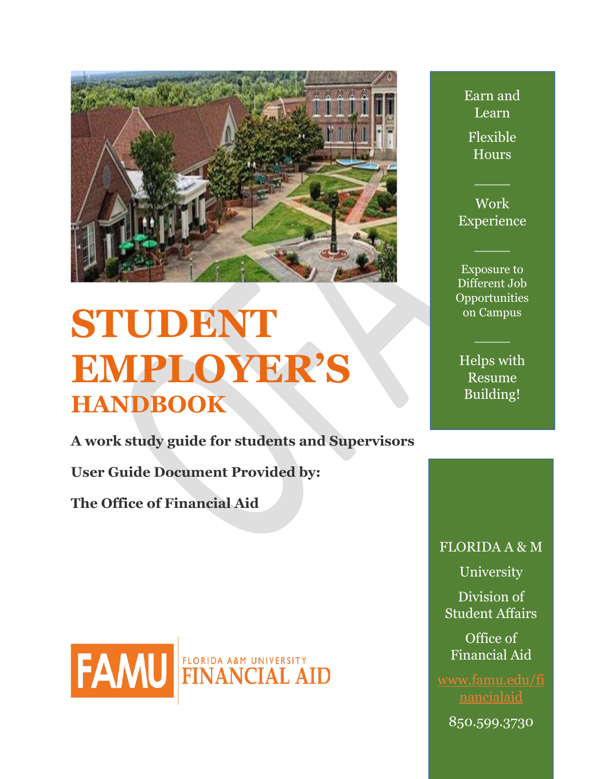

# **STUDENT EMPLOYER'S HANDBOOK**

**A work study guide for students and Supervisors** 

**User Guide Document Provided by:**

**The Office of Financial Aid**



Earn and Learn Flexible Hours

Work Experience

 $\overline{\phantom{a}}$ 

 $\overline{\phantom{a}}$ 

Exposure to Different Job **Opportunities** on Campus

Helps with Resume Building!

 $\overline{\phantom{a}}$ 

FLORIDA A & M

University

Division of Student Affairs

Office of Financial Aid

[www.famu.edu/fi](http://www.famu.edu/financialaid)

850.599.3730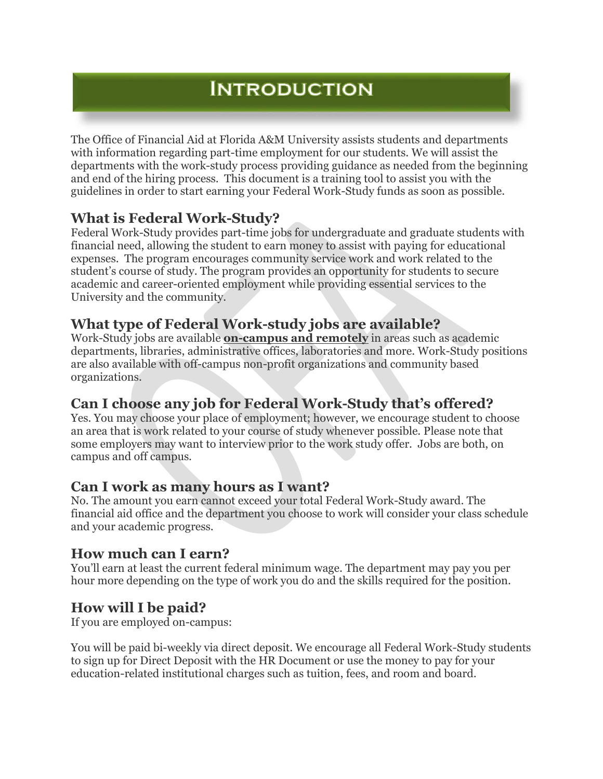# **INTRODUCTION**

The Office of Financial Aid at Florida A&M University assists students and departments with information regarding part-time employment for our students. We will assist the departments with the work-study process providing guidance as needed from the beginning and end of the hiring process. This document is a training tool to assist you with the guidelines in order to start earning your Federal Work-Study funds as soon as possible.

# **What is Federal Work-Study?**

Federal Work-Study provides part-time jobs for undergraduate and graduate students with financial need, allowing the student to earn money to assist with paying for educational expenses. The program encourages community service work and work related to the student's course of study. The program provides an opportunity for students to secure academic and career-oriented employment while providing essential services to the University and the community.

# **What type of Federal Work-study jobs are available?**

Work-Study jobs are available **on-campus and remotely** in areas such as academic departments, libraries, administrative offices, laboratories and more. Work-Study positions are also available with off-campus non-profit organizations and community based organizations.

## **Can I choose any job for Federal Work-Study that's offered?**

Yes. You may choose your place of employment; however, we encourage student to choose an area that is work related to your course of study whenever possible. Please note that some employers may want to interview prior to the work study offer. Jobs are both, on campus and off campus.

## **Can I work as many hours as I want?**

No. The amount you earn cannot exceed your total Federal Work-Study award. The financial aid office and the department you choose to work will consider your class schedule and your academic progress.

## **How much can I earn?**

You'll earn at least the current federal minimum wage. The department may pay you per hour more depending on the type of work you do and the skills required for the position.

# **How will I be paid?**

If you are employed on-campus:

You will be paid bi-weekly via direct deposit. We encourage all Federal Work-Study students to sign up for Direct Deposit with the HR Document or use the money to pay for your education-related institutional charges such as tuition, fees, and room and board.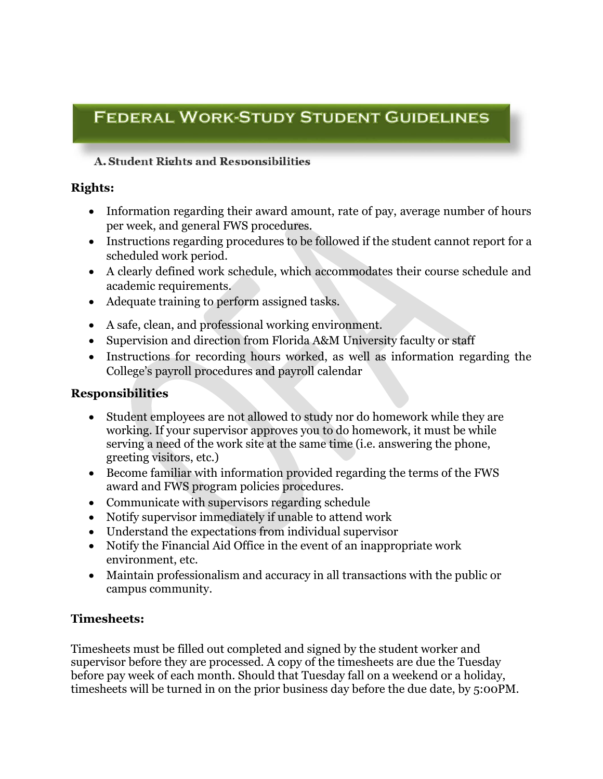# **FEDERAL WORK-STUDY STUDENT GUIDELINES**

#### **A. Student Rights and Responsibilities**

#### **Rights:**

- Information regarding their award amount, rate of pay, average number of hours per week, and general FWS procedures.
- Instructions regarding procedures to be followed if the student cannot report for a scheduled work period.
- A clearly defined work schedule, which accommodates their course schedule and academic requirements.
- Adequate training to perform assigned tasks.
- A safe, clean, and professional working environment.
- Supervision and direction from Florida A&M University faculty or staff
- Instructions for recording hours worked, as well as information regarding the College's payroll procedures and payroll calendar

#### **Responsibilities**

- Student employees are not allowed to study nor do homework while they are working. If your supervisor approves you to do homework, it must be while serving a need of the work site at the same time (i.e. answering the phone, greeting visitors, etc.)
- Become familiar with information provided regarding the terms of the FWS award and FWS program policies procedures.
- Communicate with supervisors regarding schedule
- Notify supervisor immediately if unable to attend work
- Understand the expectations from individual supervisor
- Notify the Financial Aid Office in the event of an inappropriate work environment, etc.
- Maintain professionalism and accuracy in all transactions with the public or campus community.

#### **Timesheets:**

Timesheets must be filled out completed and signed by the student worker and supervisor before they are processed. A copy of the timesheets are due the Tuesday before pay week of each month. Should that Tuesday fall on a weekend or a holiday, timesheets will be turned in on the prior business day before the due date, by 5:00PM.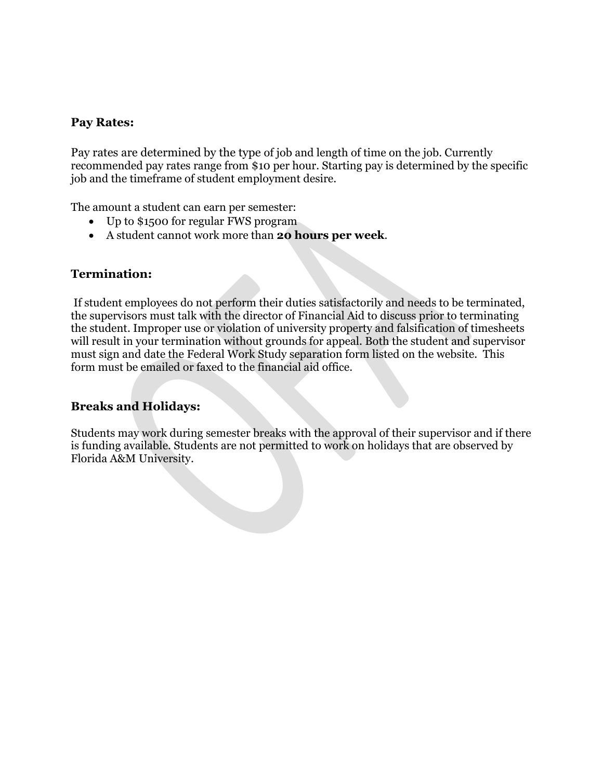#### **Pay Rates:**

Pay rates are determined by the type of job and length of time on the job. Currently recommended pay rates range from \$10 per hour. Starting pay is determined by the specific job and the timeframe of student employment desire.

The amount a student can earn per semester:

- Up to \$1500 for regular FWS program
- A student cannot work more than **20 hours per week**.

#### **Termination:**

If student employees do not perform their duties satisfactorily and needs to be terminated, the supervisors must talk with the director of Financial Aid to discuss prior to terminating the student. Improper use or violation of university property and falsification of timesheets will result in your termination without grounds for appeal. Both the student and supervisor must sign and date the Federal Work Study separation form listed on the website. This form must be emailed or faxed to the financial aid office.

#### **Breaks and Holidays:**

Students may work during semester breaks with the approval of their supervisor and if there is funding available. Students are not permitted to work on holidays that are observed by Florida A&M University.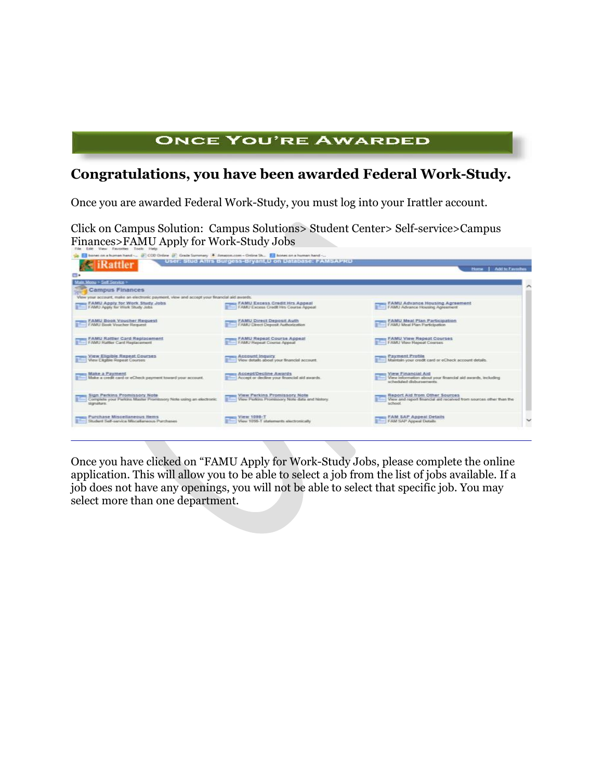## **ONCE YOU'RE AWARDED**

# **Congratulations, you have been awarded Federal Work-Study.**

Once you are awarded Federal Work-Study, you must log into your Irattler account.

Click on Campus Solution: Campus Solutions> Student Center> Self-service>Campus



Once you have clicked on "FAMU Apply for Work-Study Jobs, please complete the online application. This will allow you to be able to select a job from the list of jobs available. If a job does not have any openings, you will not be able to select that specific job. You may select more than one department.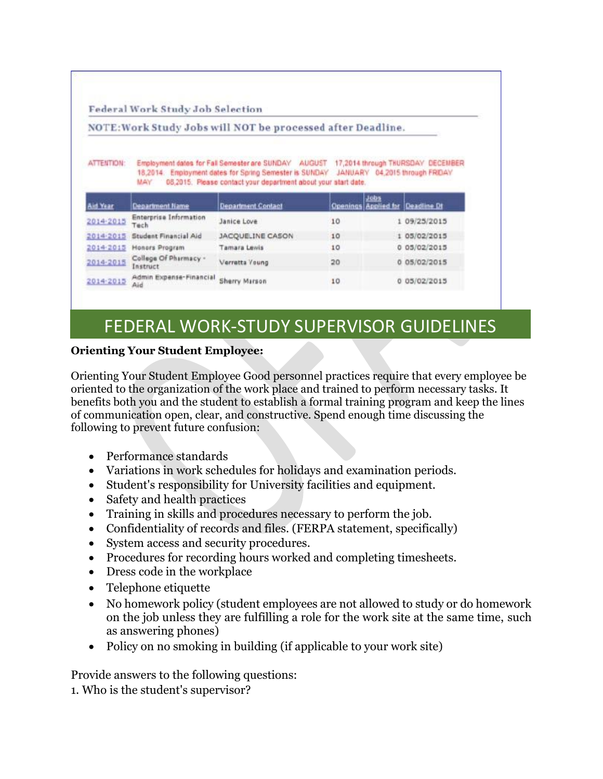Federal Work Study Job Selection

#### NOTE: Work Study Jobs will NOT be processed after Deadline.

| <b>ATTENTION:</b> | Employment dates for Fall Semester are SUNDAY AUGUST 17,2014 through THURSDAY DECEMBER |  |
|-------------------|----------------------------------------------------------------------------------------|--|
|                   | 18,2014. Employment dates for Spring Semester is SUNDAY JANUARY 04,2015 through FRIDAY |  |
|                   | MAY 08,2015. Please contact your department about your start date.                     |  |

| Aid Year  | <b>Department Name</b>                | <b>Department Contact</b> |    | Jobs | Openings Applied for Deadline Dt |
|-----------|---------------------------------------|---------------------------|----|------|----------------------------------|
| 2014-2015 | <b>Enterprise Information</b><br>Tech | Janice Love               | 10 |      | 1 09/25/2015                     |
|           | 2014-2015 Student Financial Aid       | JACQUELINE CASON          | 10 |      | 05/02/2015                       |
| 2014-2015 | Honors Program                        | Tamara Lewis              | 10 |      | 0.05/02/2015                     |
| 2014-2015 | College Of Pharmacy -<br>Instruct     | Verretta Young            | 20 |      | 0 05/02/2015                     |
| 2014-2015 | Admin Expense-Financial<br>Aid        | Sherry Marson             | 10 |      | 0 05/02/2015                     |

# FEDERAL WORK-STUDY SUPERVISOR GUIDELINES

#### **Orienting Your Student Employee:**

Orienting Your Student Employee Good personnel practices require that every employee be oriented to the organization of the work place and trained to perform necessary tasks. It benefits both you and the student to establish a formal training program and keep the lines of communication open, clear, and constructive. Spend enough time discussing the following to prevent future confusion:

- Performance standards
- Variations in work schedules for holidays and examination periods.
- Student's responsibility for University facilities and equipment.
- Safety and health practices
- Training in skills and procedures necessary to perform the job.
- Confidentiality of records and files. (FERPA statement, specifically)
- System access and security procedures.
- Procedures for recording hours worked and completing timesheets.
- Dress code in the workplace
- Telephone etiquette
- No homework policy (student employees are not allowed to study or do homework on the job unless they are fulfilling a role for the work site at the same time, such as answering phones)
- Policy on no smoking in building (if applicable to your work site)

Provide answers to the following questions:

1. Who is the student's supervisor?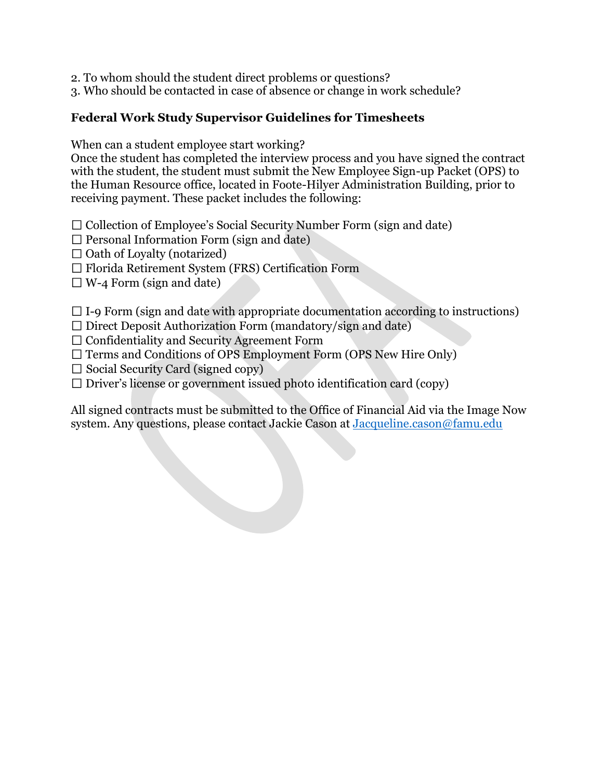2. To whom should the student direct problems or questions?

3. Who should be contacted in case of absence or change in work schedule?

#### **Federal Work Study Supervisor Guidelines for Timesheets**

When can a student employee start working?

Once the student has completed the interview process and you have signed the contract with the student, the student must submit the New Employee Sign-up Packet (OPS) to the Human Resource office, located in Foote-Hilyer Administration Building, prior to receiving payment. These packet includes the following:

 $\Box$  Collection of Employee's Social Security Number Form (sign and date)

 $\Box$  Personal Information Form (sign and date)

 $\Box$  Oath of Loyalty (notarized)

 $\Box$  Florida Retirement System (FRS) Certification Form

 $\Box$  W-4 Form (sign and date)

 $\Box$  I-9 Form (sign and date with appropriate documentation according to instructions)

 $\square$  Direct Deposit Authorization Form (mandatory/sign and date)

 $\Box$  Confidentiality and Security Agreement Form

 $\Box$  Terms and Conditions of OPS Employment Form (OPS New Hire Only)

 $\Box$  Social Security Card (signed copy)

 $\Box$  Driver's license or government issued photo identification card (copy)

All signed contracts must be submitted to the Office of Financial Aid via the Image Now system. Any questions, please contact Jackie Cason at [Jacqueline.cason@famu.edu](mailto:Jacqueline.cason@famu.edu)